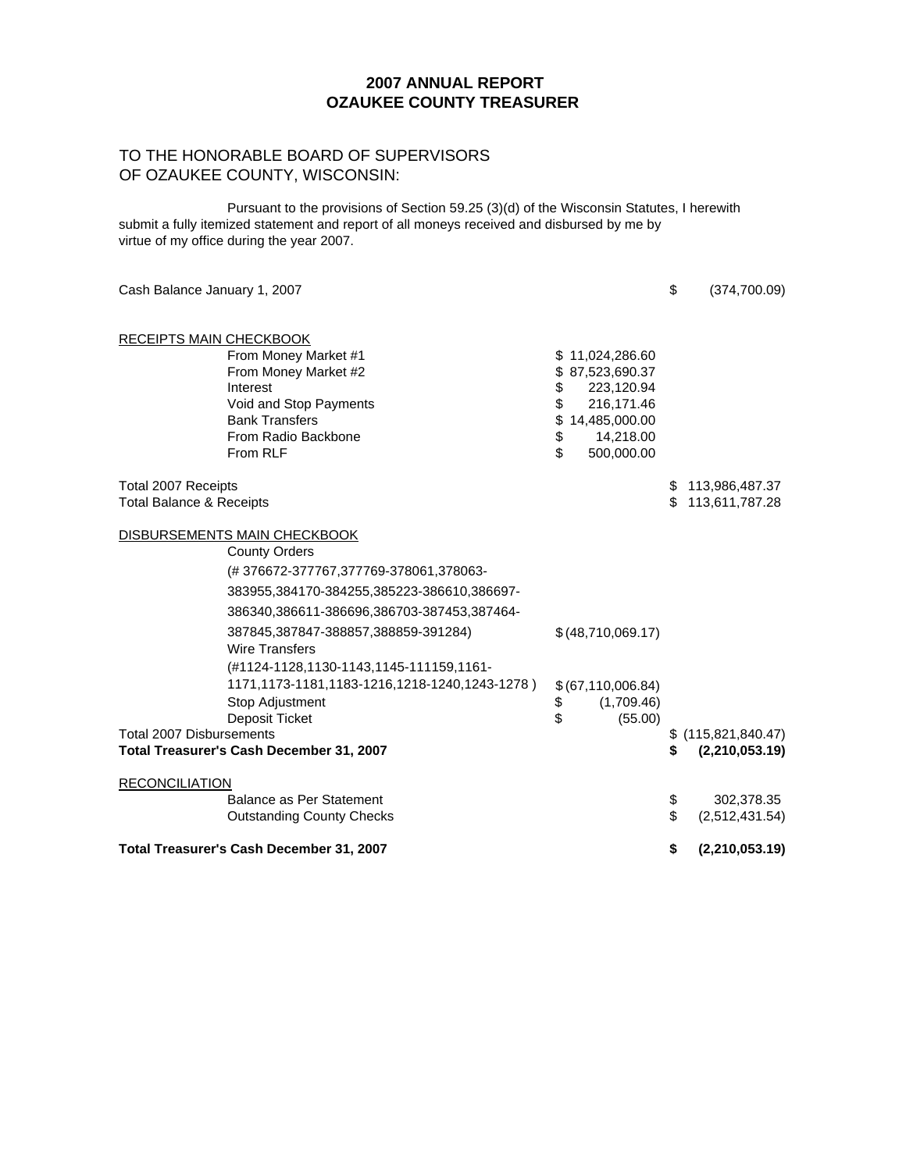#### TO THE HONORABLE BOARD OF SUPERVISORS OF OZAUKEE COUNTY, WISCONSIN:

Pursuant to the provisions of Section 59.25 (3)(d) of the Wisconsin Statutes, I herewith submit a fully itemized statement and report of all moneys received and disbursed by me by virtue of my office during the year 2007.

| Cash Balance January 1, 2007                                                                                                                                                                                                                                                                                                                                                               |                                                                                                                                          | \$       | (374,700.09)                           |
|--------------------------------------------------------------------------------------------------------------------------------------------------------------------------------------------------------------------------------------------------------------------------------------------------------------------------------------------------------------------------------------------|------------------------------------------------------------------------------------------------------------------------------------------|----------|----------------------------------------|
| <b>RECEIPTS MAIN CHECKBOOK</b><br>From Money Market #1<br>From Money Market #2<br>Interest<br>Void and Stop Payments<br><b>Bank Transfers</b><br>From Radio Backbone<br>From RLF                                                                                                                                                                                                           | \$11,024,286.60<br>\$87,523,690.37<br>223,120.94<br>\$<br>\$<br>216,171.46<br>\$<br>14,485,000.00<br>\$<br>14,218.00<br>\$<br>500,000.00 |          |                                        |
| Total 2007 Receipts<br><b>Total Balance &amp; Receipts</b>                                                                                                                                                                                                                                                                                                                                 |                                                                                                                                          | S.<br>\$ | 113,986,487.37<br>113,611,787.28       |
| DISBURSEMENTS MAIN CHECKBOOK<br><b>County Orders</b><br>(#376672-377767,377769-378061,378063-<br>383955,384170-384255,385223-386610,386697-<br>386340,386611-386696,386703-387453,387464-<br>387845,387847-388857,388859-391284)<br><b>Wire Transfers</b><br>(#1124-1128,1130-1143,1145-111159,1161-<br>1171,1173-1181,1183-1216,1218-1240,1243-1278)<br>Stop Adjustment<br>Deposit Ticket | \$(48,710,069.17)<br>\$(67,110,006.84)<br>(1,709.46)<br>\$<br>\$<br>(55.00)                                                              |          |                                        |
| <b>Total 2007 Disbursements</b><br>Total Treasurer's Cash December 31, 2007                                                                                                                                                                                                                                                                                                                |                                                                                                                                          | S        | $$$ (115,821,840.47)<br>(2,210,053.19) |
| <b>RECONCILIATION</b><br>Balance as Per Statement<br><b>Outstanding County Checks</b>                                                                                                                                                                                                                                                                                                      |                                                                                                                                          | \$<br>\$ | 302,378.35<br>(2,512,431.54)           |
| Total Treasurer's Cash December 31, 2007                                                                                                                                                                                                                                                                                                                                                   |                                                                                                                                          | \$       | (2,210,053.19)                         |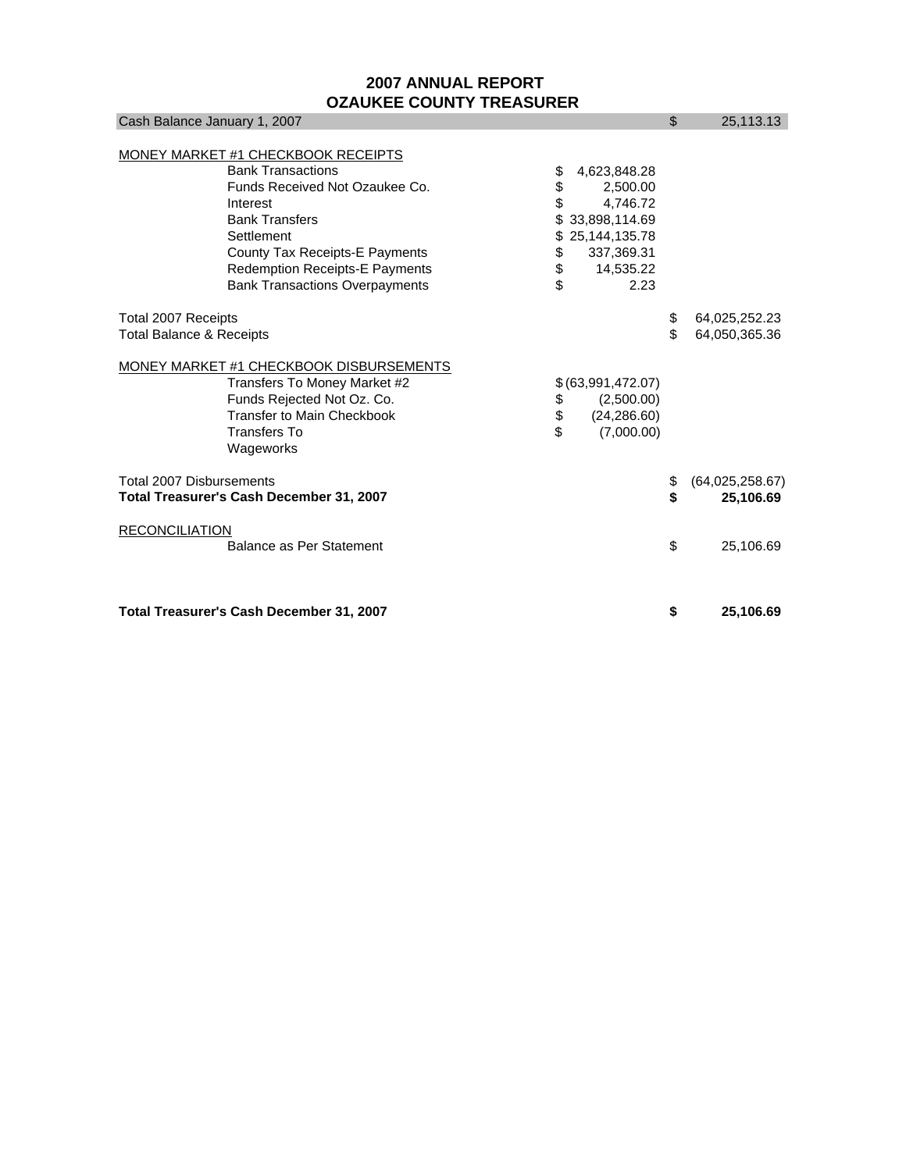| Cash Balance January 1, 2007                    |    |                   | $\mathcal{S}$ | 25,113.13       |
|-------------------------------------------------|----|-------------------|---------------|-----------------|
|                                                 |    |                   |               |                 |
| MONEY MARKET #1 CHECKBOOK RECEIPTS              |    |                   |               |                 |
| <b>Bank Transactions</b>                        | \$ | 4,623,848.28      |               |                 |
| Funds Received Not Ozaukee Co.                  | \$ | 2,500.00          |               |                 |
| Interest                                        | \$ | 4,746.72          |               |                 |
| <b>Bank Transfers</b>                           |    | \$33,898,114.69   |               |                 |
| Settlement                                      |    | \$25,144,135.78   |               |                 |
| County Tax Receipts-E Payments                  | \$ | 337,369.31        |               |                 |
| <b>Redemption Receipts-E Payments</b>           | \$ | 14,535.22         |               |                 |
| <b>Bank Transactions Overpayments</b>           | \$ | 2.23              |               |                 |
| Total 2007 Receipts                             |    |                   | \$            | 64,025,252.23   |
| <b>Total Balance &amp; Receipts</b>             |    | \$                | 64,050,365.36 |                 |
| MONEY MARKET #1 CHECKBOOK DISBURSEMENTS         |    |                   |               |                 |
| Transfers To Money Market #2                    |    | \$(63,991,472.07) |               |                 |
| Funds Rejected Not Oz. Co.                      | \$ | (2,500.00)        |               |                 |
| Transfer to Main Checkbook                      | \$ | (24, 286.60)      |               |                 |
| Transfers To                                    | \$ | (7,000.00)        |               |                 |
| Wageworks                                       |    |                   |               |                 |
| <b>Total 2007 Disbursements</b>                 |    |                   | \$            | (64,025,258.67) |
| <b>Total Treasurer's Cash December 31, 2007</b> |    |                   | \$            | 25,106.69       |
| <b>RECONCILIATION</b>                           |    |                   |               |                 |
| Balance as Per Statement                        |    |                   | \$            | 25,106.69       |
|                                                 |    |                   |               |                 |
| Total Treasurer's Cash December 31, 2007        |    |                   | \$            | 25,106.69       |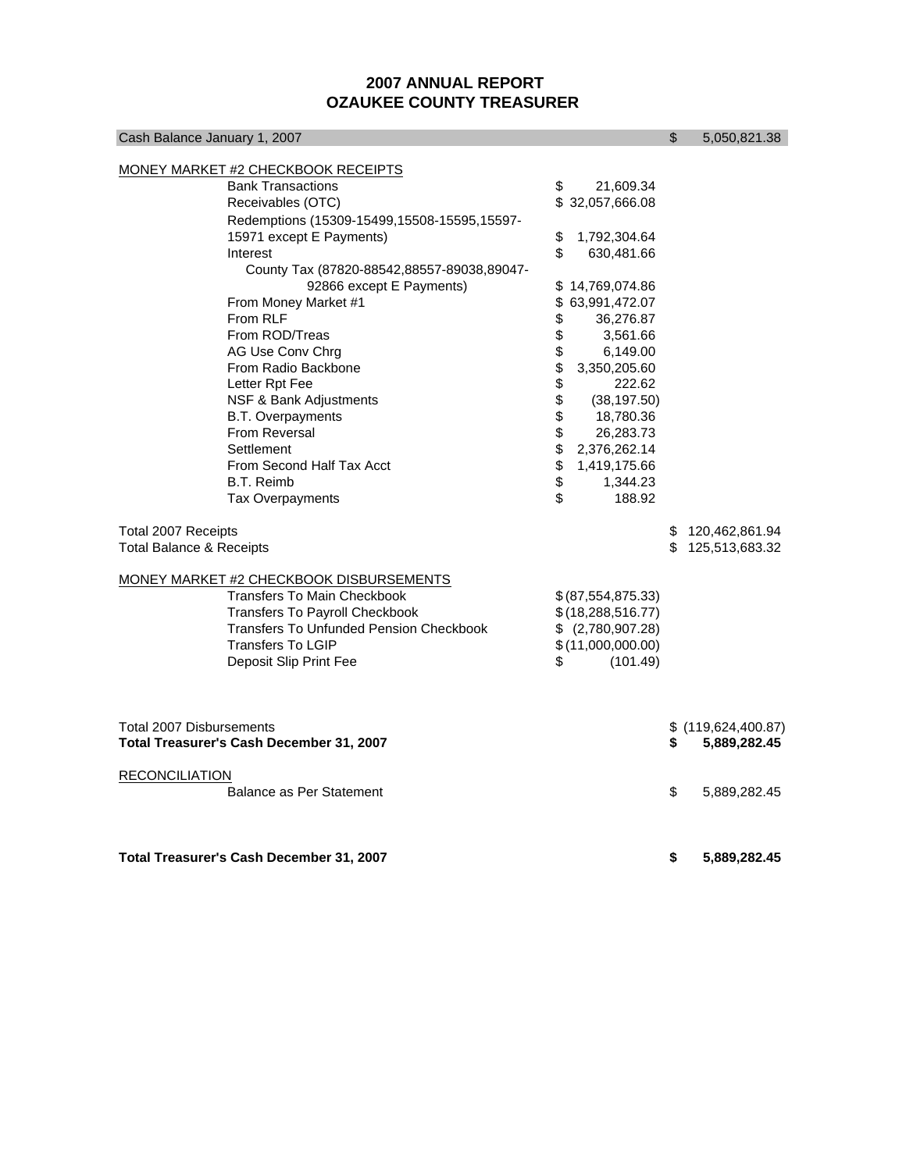| Cash Balance January 1, 2007                                                                                                                                                                                                   |                                        |                                                                                                 | \$ | 5,050,821.38     |  |  |  |  |
|--------------------------------------------------------------------------------------------------------------------------------------------------------------------------------------------------------------------------------|----------------------------------------|-------------------------------------------------------------------------------------------------|----|------------------|--|--|--|--|
| <b>MONEY MARKET #2 CHECKBOOK RECEIPTS</b><br><b>Bank Transactions</b><br>Receivables (OTC)                                                                                                                                     | \$                                     | 21,609.34<br>\$32,057,666.08                                                                    |    |                  |  |  |  |  |
| Redemptions (15309-15499,15508-15595,15597-<br>15971 except E Payments)<br>Interest<br>County Tax (87820-88542,88557-89038,89047-                                                                                              | \$<br>1,792,304.64<br>\$<br>630,481.66 |                                                                                                 |    |                  |  |  |  |  |
| 92866 except E Payments)<br>From Money Market #1<br>From RLF<br>From ROD/Treas<br>AG Use Conv Chrg<br>From Radio Backbone                                                                                                      | \$<br>\$<br>\$<br>\$<br>\$             | \$14,769,074.86<br>63,991,472.07<br>36,276.87<br>3,561.66<br>6,149.00<br>3,350,205.60           |    |                  |  |  |  |  |
| Letter Rpt Fee<br>NSF & Bank Adjustments<br><b>B.T. Overpayments</b><br><b>From Reversal</b><br>Settlement                                                                                                                     | \$<br>\$<br>\$<br>\$<br>\$             | 222.62<br>(38, 197.50)<br>18,780.36<br>26,283.73<br>2,376,262.14                                |    |                  |  |  |  |  |
| From Second Half Tax Acct<br><b>B.T. Reimb</b><br>Tax Overpayments<br>Total 2007 Receipts                                                                                                                                      | \$<br>\$<br>\$                         | 1,419,175.66<br>1,344.23<br>188.92                                                              | \$ | 120,462,861.94   |  |  |  |  |
| <b>Total Balance &amp; Receipts</b>                                                                                                                                                                                            |                                        |                                                                                                 |    | \$125,513,683.32 |  |  |  |  |
| MONEY MARKET #2 CHECKBOOK DISBURSEMENTS<br><b>Transfers To Main Checkbook</b><br><b>Transfers To Payroll Checkbook</b><br><b>Transfers To Unfunded Pension Checkbook</b><br><b>Transfers To LGIP</b><br>Deposit Slip Print Fee | \$                                     | \$ (87,554,875.33)<br>\$(18, 288, 516.77)<br>\$ (2,780,907.28)<br>\$(11,000,000.00)<br>(101.49) |    |                  |  |  |  |  |
| <b>Total 2007 Disbursements</b><br>Total Treasurer's Cash December 31, 2007                                                                                                                                                    | \$                                     | \$(119,624,400.87)<br>5,889,282.45                                                              |    |                  |  |  |  |  |
| <b>RECONCILIATION</b><br>Balance as Per Statement                                                                                                                                                                              | \$                                     | 5,889,282.45                                                                                    |    |                  |  |  |  |  |
| <b>Total Treasurer's Cash December 31, 2007</b>                                                                                                                                                                                |                                        |                                                                                                 | \$ | 5,889,282.45     |  |  |  |  |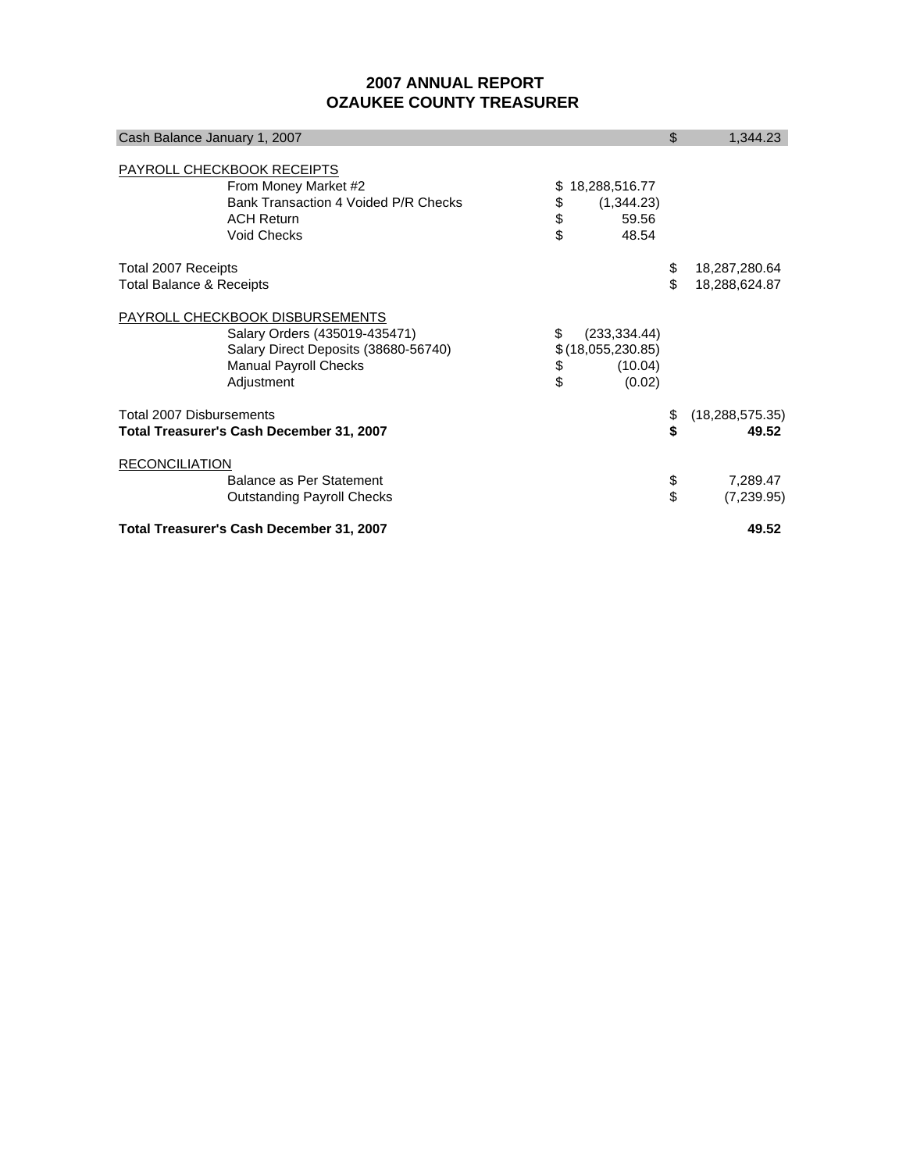| Cash Balance January 1, 2007                                                                                                                           |                                                                       | \$       | 1,344.23                       |
|--------------------------------------------------------------------------------------------------------------------------------------------------------|-----------------------------------------------------------------------|----------|--------------------------------|
| PAYROLL CHECKBOOK RECEIPTS<br>From Money Market #2<br>Bank Transaction 4 Voided P/R Checks<br><b>ACH Return</b><br><b>Void Checks</b>                  | 18,288,516.77<br>æ.<br>\$<br>(1,344.23)<br>\$<br>\$<br>59.56<br>48.54 |          |                                |
| Total 2007 Receipts<br>Total Balance & Receipts                                                                                                        |                                                                       | \$<br>\$ | 18,287,280.64<br>18,288,624.87 |
| PAYROLL CHECKBOOK DISBURSEMENTS<br>Salary Orders (435019-435471)<br>Salary Direct Deposits (38680-56740)<br><b>Manual Payroll Checks</b><br>Adjustment | (233, 334.44)<br>\$(18,055,230.85)<br>\$<br>(10.04)<br>\$<br>(0.02)   |          |                                |
| <b>Total 2007 Disbursements</b><br>Total Treasurer's Cash December 31, 2007                                                                            |                                                                       | \$       | (18, 288, 575.35)<br>49.52     |
| <b>RECONCILIATION</b><br>Balance as Per Statement<br><b>Outstanding Payroll Checks</b>                                                                 |                                                                       | \$       | 7,289.47<br>(7,239.95)         |
| Total Treasurer's Cash December 31, 2007                                                                                                               |                                                                       | 49.52    |                                |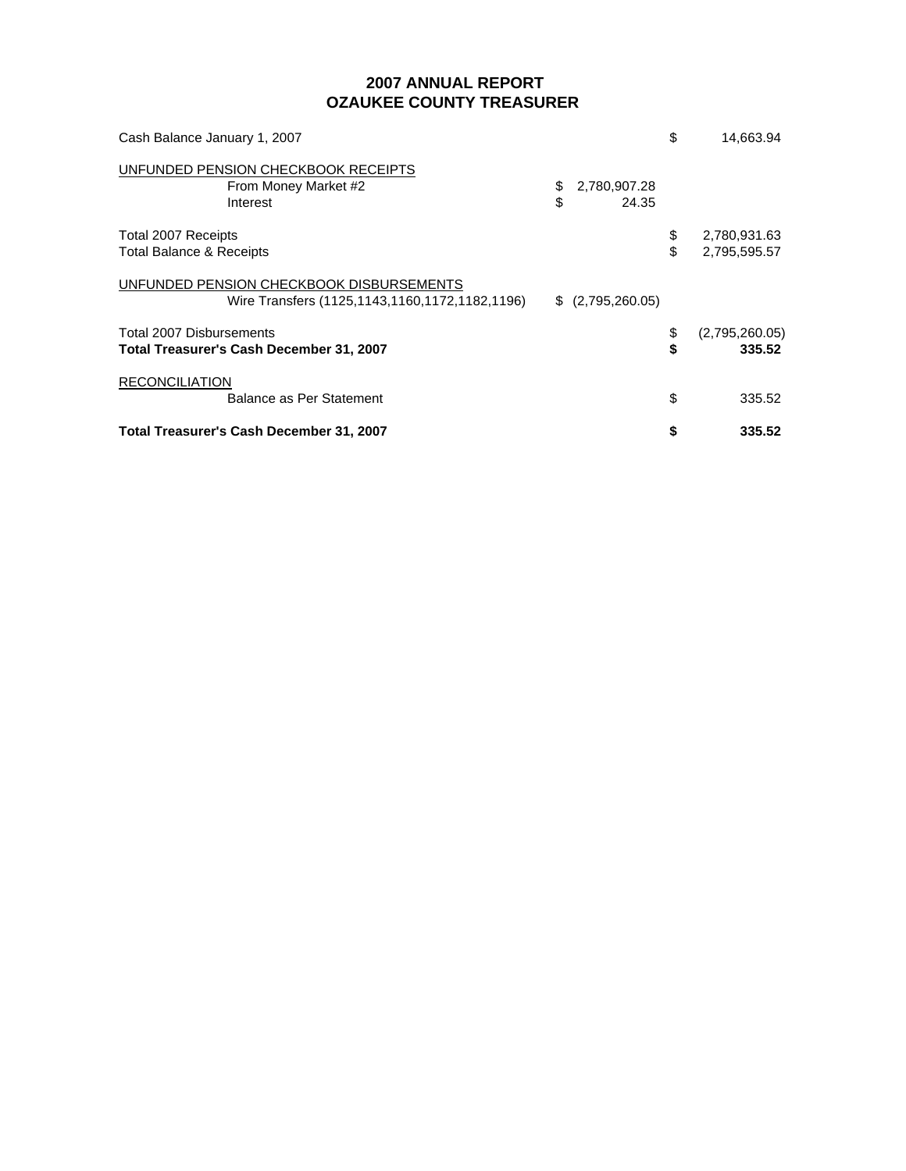| Cash Balance January 1, 2007                                                               |          |                       | \$        | 14,663.94                    |
|--------------------------------------------------------------------------------------------|----------|-----------------------|-----------|------------------------------|
| UNFUNDED PENSION CHECKBOOK RECEIPTS<br>From Money Market #2<br>Interest                    | \$<br>\$ | 2,780,907.28<br>24.35 |           |                              |
| <b>Total 2007 Receipts</b><br>Total Balance & Receipts                                     |          |                       | \$<br>\$. | 2,780,931.63<br>2,795,595.57 |
| UNFUNDED PENSION CHECKBOOK DISBURSEMENTS<br>Wire Transfers (1125,1143,1160,1172,1182,1196) |          | \$ (2,795,260.05)     |           |                              |
| Total 2007 Disbursements<br>Total Treasurer's Cash December 31, 2007                       |          |                       | \$<br>\$  | (2,795,260.05)<br>335.52     |
| <b>RECONCILIATION</b><br>Balance as Per Statement                                          |          |                       | \$        | 335.52                       |
| Total Treasurer's Cash December 31, 2007                                                   |          |                       | \$        | 335.52                       |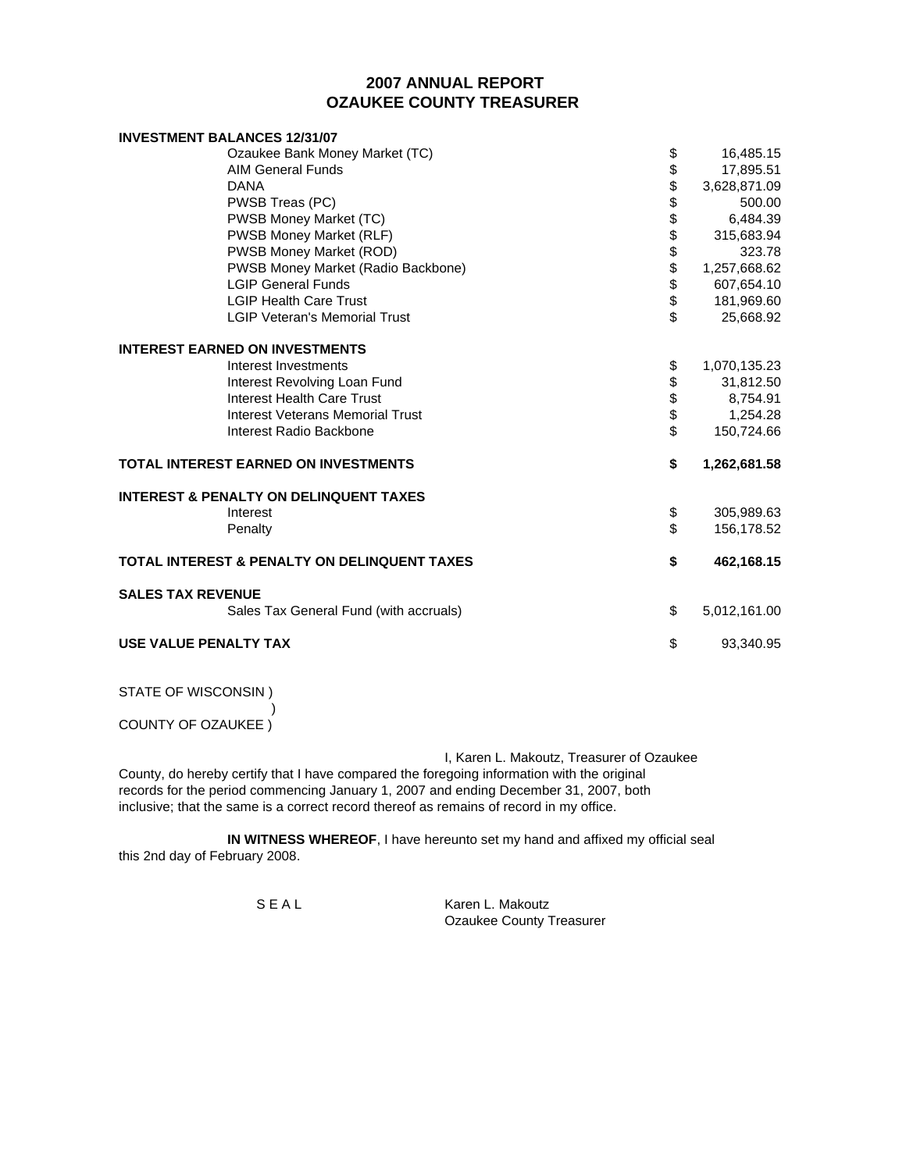#### **OZAUKEE COUNTY TREASURER 2007 ANNUAL REPORT**

| <b>INVESTMENT BALANCES 12/31/07</b>                     |           |              |
|---------------------------------------------------------|-----------|--------------|
| Ozaukee Bank Money Market (TC)                          | \$        | 16,485.15    |
| <b>AIM General Funds</b>                                |           | 17,895.51    |
| <b>DANA</b>                                             |           | 3,628,871.09 |
| PWSB Treas (PC)                                         | 888888888 | 500.00       |
| PWSB Money Market (TC)                                  |           | 6,484.39     |
| <b>PWSB Money Market (RLF)</b>                          |           | 315,683.94   |
| PWSB Money Market (ROD)                                 |           | 323.78       |
| PWSB Money Market (Radio Backbone)                      |           | 1,257,668.62 |
| <b>LGIP General Funds</b>                               |           | 607,654.10   |
| <b>LGIP Health Care Trust</b>                           |           | 181,969.60   |
| <b>LGIP Veteran's Memorial Trust</b>                    |           | 25,668.92    |
| <b>INTEREST EARNED ON INVESTMENTS</b>                   |           |              |
| Interest Investments                                    | \$        | 1,070,135.23 |
| Interest Revolving Loan Fund                            |           | 31,812.50    |
| Interest Health Care Trust                              | \$\$      | 8,754.91     |
| <b>Interest Veterans Memorial Trust</b>                 |           | 1,254.28     |
| Interest Radio Backbone                                 | \$        | 150,724.66   |
| <b>TOTAL INTEREST EARNED ON INVESTMENTS</b>             | \$        | 1,262,681.58 |
| <b>INTEREST &amp; PENALTY ON DELINQUENT TAXES</b>       |           |              |
| Interest                                                | \$        | 305,989.63   |
| Penalty                                                 | \$        | 156,178.52   |
| <b>TOTAL INTEREST &amp; PENALTY ON DELINQUENT TAXES</b> | \$        | 462,168.15   |
| <b>SALES TAX REVENUE</b>                                |           |              |
| Sales Tax General Fund (with accruals)                  | \$        | 5,012,161.00 |
| USE VALUE PENALTY TAX                                   | \$        | 93,340.95    |

STATE OF WISCONSIN )

) and the contract of  $\mathcal{L}$ COUNTY OF OZAUKEE )

I, Karen L. Makoutz, Treasurer of Ozaukee County, do hereby certify that I have compared the foregoing information with the original records for the period commencing January 1, 2007 and ending December 31, 2007, both inclusive; that the same is a correct record thereof as remains of record in my office.

**IN WITNESS WHEREOF**, I have hereunto set my hand and affixed my official seal this 2nd day of February 2008.

S E A L Karen L. Makoutz Ozaukee County Treasurer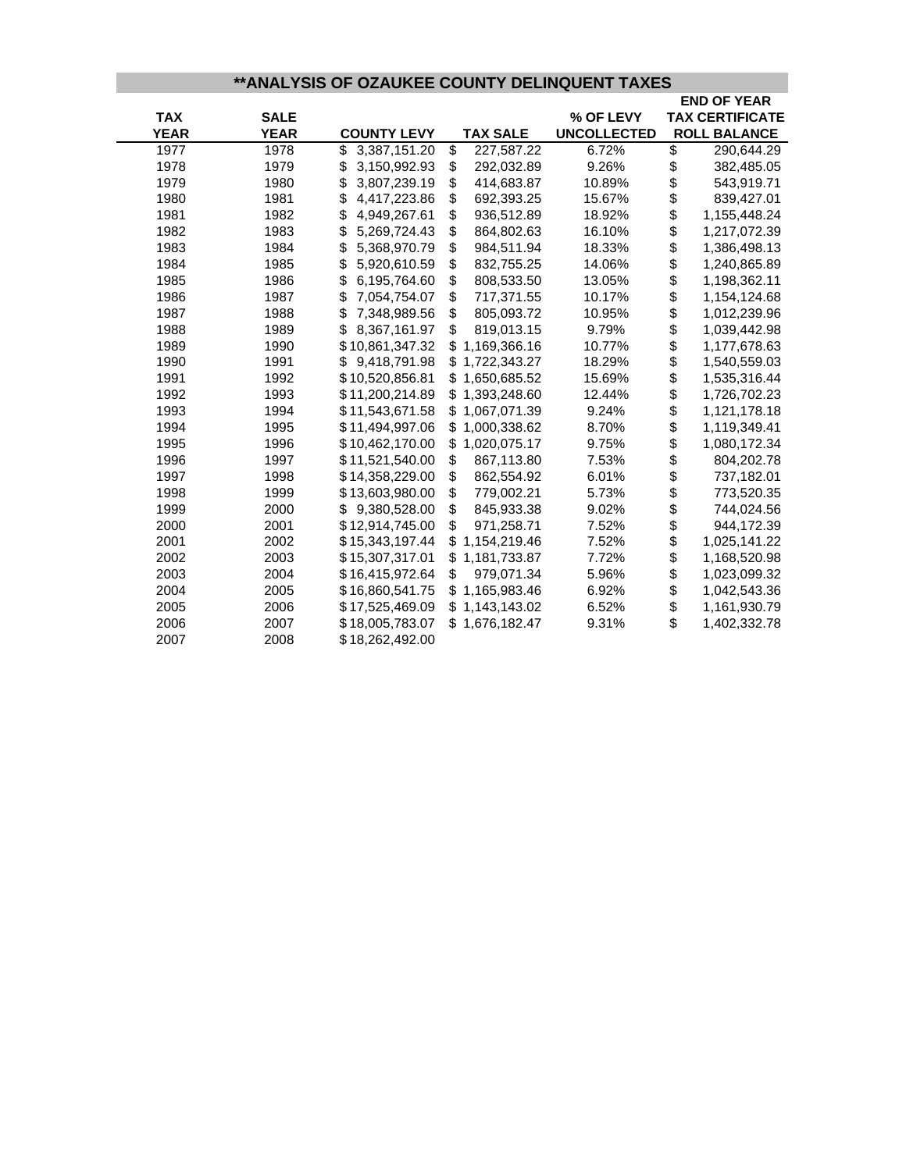# **\*\*ANALYSIS OF OZAUKEE COUNTY DELINQUENT TAXES**

|             |             |                    |                    |                    |          | <b>END OF YEAR</b>     |
|-------------|-------------|--------------------|--------------------|--------------------|----------|------------------------|
| <b>TAX</b>  | <b>SALE</b> |                    |                    | % OF LEVY          |          | <b>TAX CERTIFICATE</b> |
| <b>YEAR</b> | <b>YEAR</b> | <b>COUNTY LEVY</b> | <b>TAX SALE</b>    | <b>UNCOLLECTED</b> |          | <b>ROLL BALANCE</b>    |
| 1977        | 1978        | \$<br>3,387,151.20 | \$<br>227,587.22   | 6.72%              | \$       | 290,644.29             |
| 1978        | 1979        | 3,150,992.93<br>\$ | \$<br>292,032.89   | 9.26%              | \$       | 382,485.05             |
| 1979        | 1980        | \$<br>3,807,239.19 | \$<br>414,683.87   | 10.89%             | \$       | 543,919.71             |
| 1980        | 1981        | \$<br>4,417,223.86 | \$<br>692,393.25   | 15.67%             | \$       | 839,427.01             |
| 1981        | 1982        | \$<br>4,949,267.61 | \$<br>936,512.89   | 18.92%             | \$       | 1,155,448.24           |
| 1982        | 1983        | \$<br>5,269,724.43 | \$<br>864,802.63   | 16.10%             | \$       | 1,217,072.39           |
| 1983        | 1984        | \$<br>5,368,970.79 | \$<br>984,511.94   | 18.33%             | \$<br>\$ | 1,386,498.13           |
| 1984        | 1985        | \$<br>5,920,610.59 | \$<br>832,755.25   | 14.06%             |          | 1,240,865.89           |
| 1985        | 1986        | \$<br>6,195,764.60 | \$<br>808,533.50   | 13.05%             | \$<br>\$ | 1,198,362.11           |
| 1986        | 1987        | \$<br>7,054,754.07 | \$<br>717,371.55   | 10.17%             |          | 1,154,124.68           |
| 1987        | 1988        | \$<br>7,348,989.56 | \$<br>805,093.72   | 10.95%             | \$       | 1,012,239.96           |
| 1988        | 1989        | \$<br>8,367,161.97 | \$<br>819,013.15   | 9.79%              | \$<br>\$ | 1,039,442.98           |
| 1989        | 1990        | \$10,861,347.32    | \$<br>1,169,366.16 | 10.77%             |          | 1,177,678.63           |
| 1990        | 1991        | 9,418,791.98<br>\$ | \$<br>1,722,343.27 | 18.29%             | \$       | 1,540,559.03           |
| 1991        | 1992        | \$10,520,856.81    | \$1,650,685.52     | 15.69%             | \$       | 1,535,316.44           |
| 1992        | 1993        | \$11,200,214.89    | \$1,393,248.60     | 12.44%             | \$       | 1,726,702.23           |
| 1993        | 1994        | \$11,543,671.58    | \$<br>1,067,071.39 | 9.24%              | \$       | 1,121,178.18           |
| 1994        | 1995        | \$11,494,997.06    | \$<br>1,000,338.62 | 8.70%              | \$       | 1,119,349.41           |
| 1995        | 1996        | \$10,462,170.00    | \$<br>1,020,075.17 | 9.75%              | \$       | 1,080,172.34           |
| 1996        | 1997        | \$11,521,540.00    | \$<br>867,113.80   | 7.53%              | \$       | 804,202.78             |
| 1997        | 1998        | \$14,358,229.00    | \$<br>862,554.92   | 6.01%              | \$       | 737,182.01             |
| 1998        | 1999        | \$13,603,980.00    | \$<br>779,002.21   | 5.73%              |          | 773,520.35             |
| 1999        | 2000        | 9,380,528.00<br>\$ | \$<br>845,933.38   | 9.02%              | \$       | 744,024.56             |
| 2000        | 2001        | \$12,914,745.00    | \$<br>971,258.71   | 7.52%              | \$<br>\$ | 944,172.39             |
| 2001        | 2002        | \$15,343,197.44    | 1,154,219.46       | 7.52%              |          | 1,025,141.22           |
| 2002        | 2003        | \$15,307,317.01    | \$<br>1,181,733.87 | 7.72%              | \$       | 1,168,520.98           |
| 2003        | 2004        | \$16,415,972.64    | \$<br>979,071.34   | 5.96%              |          | 1,023,099.32           |
| 2004        | 2005        | \$16,860,541.75    | \$<br>1,165,983.46 | 6.92%              | \$       | 1,042,543.36           |
| 2005        | 2006        | \$17,525,469.09    | \$1,143,143.02     | 6.52%              | \$       | 1,161,930.79           |
| 2006        | 2007        | \$18,005,783.07    | \$1,676,182.47     | 9.31%              | \$       | 1,402,332.78           |
| 2007        | 2008        | \$18,262,492.00    |                    |                    |          |                        |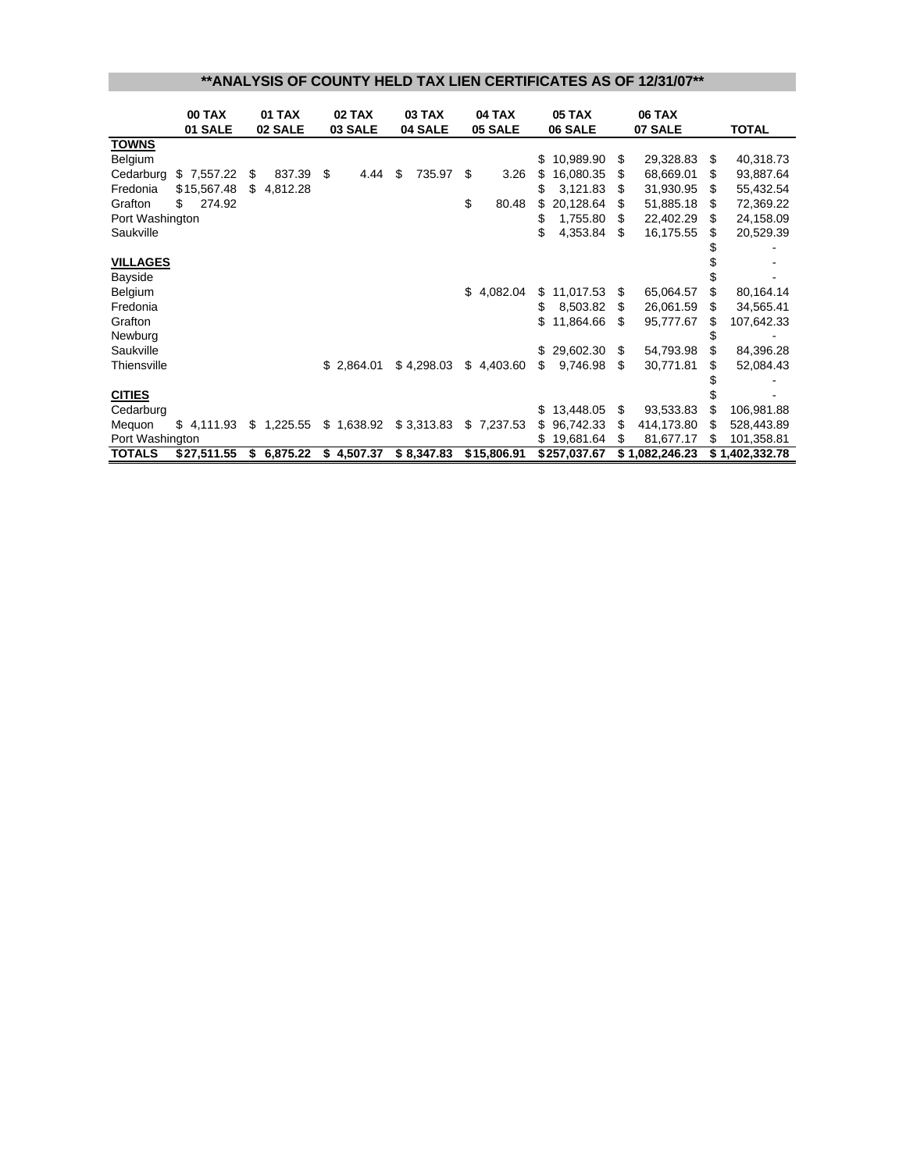#### **\*\*ANALYSIS OF COUNTY HELD TAX LIEN CERTIFICATES AS OF 12/31/07\*\***

|                 | <b>00 TAX</b> |    | <b>01 TAX</b> | 02 TAX     | <b>03 TAX</b> |     | <b>04 TAX</b> |     | <b>05 TAX</b> |     |                |    |                |  | <b>06 TAX</b> |  |  |
|-----------------|---------------|----|---------------|------------|---------------|-----|---------------|-----|---------------|-----|----------------|----|----------------|--|---------------|--|--|
|                 | 01 SALE       |    | 02 SALE       | 03 SALE    | 04 SALE       |     | 05 SALE       |     | 06 SALE       |     |                |    | 07 SALE        |  | <b>TOTAL</b>  |  |  |
| <b>TOWNS</b>    |               |    |               |            |               |     |               |     |               |     |                |    |                |  |               |  |  |
| Belgium         |               |    |               |            |               |     |               | \$  | 10,989.90     | S   | 29,328.83      | S  | 40,318.73      |  |               |  |  |
| Cedarburg       | \$7,557.22    | \$ | 837.39        | \$<br>4.44 | \$<br>735.97  | -\$ | 3.26          | S   | 16,080.35     | S   | 68,669.01      | S  | 93,887.64      |  |               |  |  |
| Fredonia        | \$15,567.48   | S  | 4,812.28      |            |               |     |               |     | 3,121.83      |     | 31,930.95      | S  | 55,432.54      |  |               |  |  |
| Grafton         | 274.92<br>S   |    |               |            |               | \$  | 80.48         | S   | 20,128.64     |     | 51,885.18      | S  | 72,369.22      |  |               |  |  |
| Port Washington |               |    |               |            |               |     |               | \$  | 1,755.80      |     | 22,402.29      | £. | 24,158.09      |  |               |  |  |
| Saukville       |               |    |               |            |               |     |               | \$  | 4,353.84      | \$. | 16,175.55      | S  | 20,529.39      |  |               |  |  |
|                 |               |    |               |            |               |     |               |     |               |     |                |    |                |  |               |  |  |
| <b>VILLAGES</b> |               |    |               |            |               |     |               |     |               |     |                |    |                |  |               |  |  |
| Bayside         |               |    |               |            |               |     |               |     |               |     |                |    |                |  |               |  |  |
| Belgium         |               |    |               |            |               |     | \$4,082.04    | \$  | 11,017.53     | S   | 65,064.57      |    | 80,164.14      |  |               |  |  |
| Fredonia        |               |    |               |            |               |     |               | \$  | 8,503.82      | S   | 26,061.59      | S  | 34,565.41      |  |               |  |  |
| Grafton         |               |    |               |            |               |     |               | S   | 11,864.66     | S   | 95,777.67      | \$ | 107,642.33     |  |               |  |  |
| Newburg         |               |    |               |            |               |     |               |     |               |     |                |    |                |  |               |  |  |
| Saukville       |               |    |               |            |               |     |               | \$. | 29,602.30     | \$. | 54,793.98      |    | 84,396.28      |  |               |  |  |
| Thiensville     |               |    |               | \$2,864.01 | \$4,298.03    |     | \$4,403.60    | S   | 9,746.98      | \$  | 30,771.81      |    | 52,084.43      |  |               |  |  |
|                 |               |    |               |            |               |     |               |     |               |     |                |    |                |  |               |  |  |
| <b>CITIES</b>   |               |    |               |            |               |     |               |     |               |     |                |    |                |  |               |  |  |
| Cedarburg       |               |    |               |            |               |     |               |     | \$13,448.05   | \$  | 93,533.83      |    | 106,981.88     |  |               |  |  |
| Mequon          | \$4,111.93    |    | \$1,225.55    | \$1,638.92 | \$3,313.83    |     | \$7,237.53    | S.  | 96,742.33     | S   | 414,173.80     | S  | 528,443.89     |  |               |  |  |
| Port Washington |               |    |               |            |               |     |               | S.  | 19,681.64     | S   | 81,677.17      | S  | 101,358.81     |  |               |  |  |
| <b>TOTALS</b>   | \$27,511.55   |    | \$6,875.22    | \$4,507.37 | \$8,347.83    |     | \$15,806.91   |     | \$257,037.67  |     | \$1,082,246.23 |    | \$1,402,332.78 |  |               |  |  |